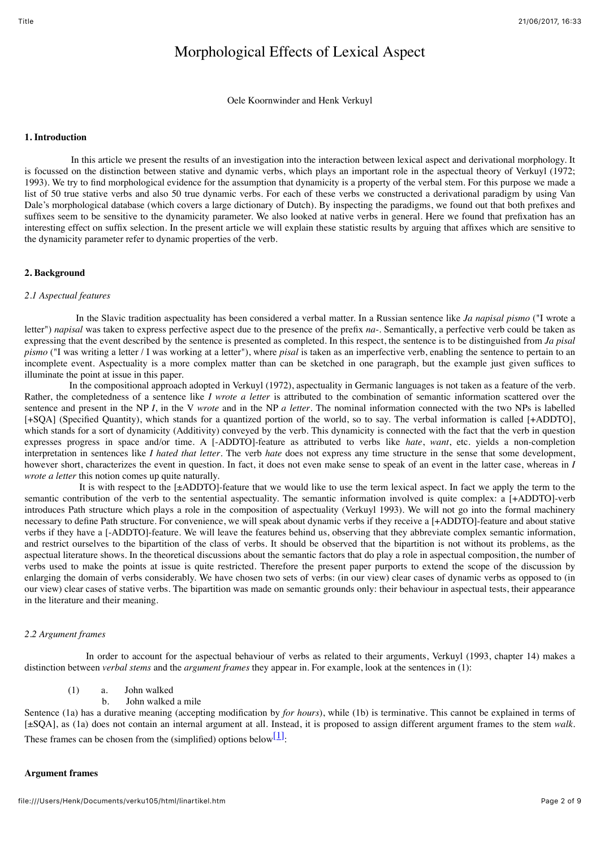# Morphological Effects of Lexical Aspect

Oele Koornwinder and Henk Verkuyl

## **1. Introduction**

 In this article we present the results of an investigation into the interaction between lexical aspect and derivational morphology. It is focussed on the distinction between stative and dynamic verbs, which plays an important role in the aspectual theory of Verkuyl (1972; 1993). We try to find morphological evidence for the assumption that dynamicity is a property of the verbal stem. For this purpose we made a list of 50 true stative verbs and also 50 true dynamic verbs. For each of these verbs we constructed a derivational paradigm by using Van Dale's morphological database (which covers a large dictionary of Dutch). By inspecting the paradigms, we found out that both prefixes and suffixes seem to be sensitive to the dynamicity parameter. We also looked at native verbs in general. Here we found that prefixation has an interesting effect on suffix selection. In the present article we will explain these statistic results by arguing that affixes which are sensitive to the dynamicity parameter refer to dynamic properties of the verb.

## **2. Background**

#### *2.1 Aspectual features*

 In the Slavic tradition aspectuality has been considered a verbal matter. In a Russian sentence like *Ja napisal pismo* ("I wrote a letter") *napisal* was taken to express perfective aspect due to the presence of the prefix *na*-. Semantically, a perfective verb could be taken as expressing that the event described by the sentence is presented as completed. In this respect, the sentence is to be distinguished from *Ja pisal pismo* ("I was writing a letter / I was working at a letter"), where *pisal* is taken as an imperfective verb, enabling the sentence to pertain to an incomplete event. Aspectuality is a more complex matter than can be sketched in one paragraph, but the example just given suffices to illuminate the point at issue in this paper.

 In the compositional approach adopted in Verkuyl (1972), aspectuality in Germanic languages is not taken as a feature of the verb. Rather, the completedness of a sentence like *I wrote a letter* is attributed to the combination of semantic information scattered over the sentence and present in the NP *I*, in the V *wrote* and in the NP *a letter*. The nominal information connected with the two NPs is labelled [+SQA] (Specified Quantity), which stands for a quantized portion of the world, so to say. The verbal information is called [+ADDTO], which stands for a sort of dynamicity (Additivity) conveyed by the verb. This dynamicity is connected with the fact that the verb in question expresses progress in space and/or time. A [-ADDTO]-feature as attributed to verbs like *hate*, *want*, etc. yields a non-completion interpretation in sentences like *I hated that letter*. The verb *hate* does not express any time structure in the sense that some development, however short, characterizes the event in question. In fact, it does not even make sense to speak of an event in the latter case, whereas in *I wrote a letter* this notion comes up quite naturally.

It is with respect to the [±ADDTO]-feature that we would like to use the term lexical aspect. In fact we apply the term to the semantic contribution of the verb to the sentential aspectuality. The semantic information involved is quite complex: a [+ADDTO]-verb introduces Path structure which plays a role in the composition of aspectuality (Verkuyl 1993). We will not go into the formal machinery necessary to define Path structure. For convenience, we will speak about dynamic verbs if they receive a [+ADDTO]-feature and about stative verbs if they have a [-ADDTO]-feature. We will leave the features behind us, observing that they abbreviate complex semantic information, and restrict ourselves to the bipartition of the class of verbs. It should be observed that the bipartition is not without its problems, as the aspectual literature shows. In the theoretical discussions about the semantic factors that do play a role in aspectual composition, the number of verbs used to make the points at issue is quite restricted. Therefore the present paper purports to extend the scope of the discussion by enlarging the domain of verbs considerably. We have chosen two sets of verbs: (in our view) clear cases of dynamic verbs as opposed to (in our view) clear cases of stative verbs. The bipartition was made on semantic grounds only: their behaviour in aspectual tests, their appearance in the literature and their meaning.

#### *2.2 Argument frames*

 In order to account for the aspectual behaviour of verbs as related to their arguments, Verkuyl (1993, chapter 14) makes a distinction between *verbal stems* and the *argument frames* they appear in. For example, look at the sentences in (1):

- <span id="page-0-0"></span> (1) a. John walked
	- b. John walked a mile

Sentence (1a) has a durative meaning (accepting modification by *for hours*), while (1b) is terminative. This cannot be explained in terms of [±SQA], as (1a) does not contain an internal argument at all. Instead, it is proposed to assign different argument frames to the stem *walk*. These frames can be chosen from the (simplified) options below<sup>[\[1\]](#page-7-0)</sup>:

#### **Argument frames**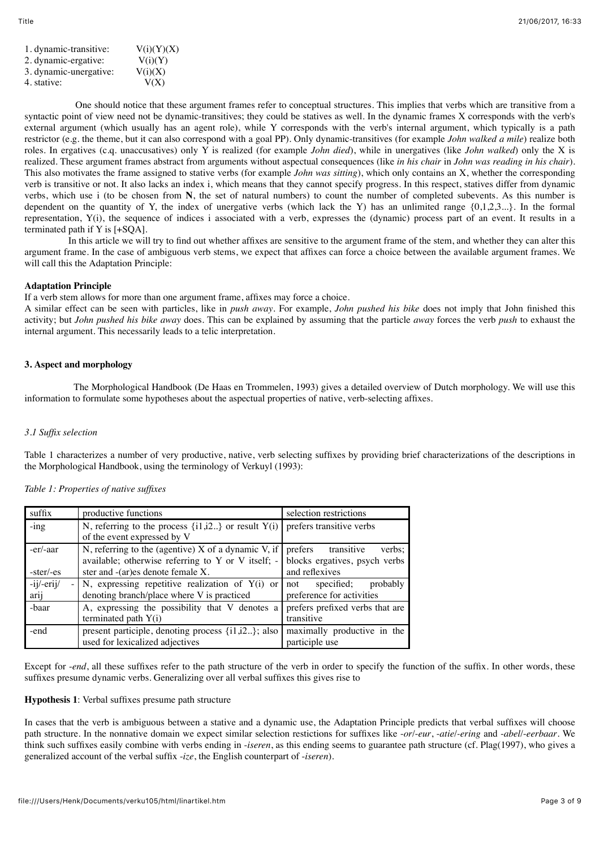| 1. dynamic-transitive: | V(i)(Y)(X) |
|------------------------|------------|
| 2. dynamic-ergative:   | V(i)(Y)    |
| 3. dynamic-unergative: | V(i)(X)    |
| 4. stative:            | V(X)       |

 One should notice that these argument frames refer to conceptual structures. This implies that verbs which are transitive from a syntactic point of view need not be dynamic-transitives; they could be statives as well. In the dynamic frames X corresponds with the verb's external argument (which usually has an agent role), while Y corresponds with the verb's internal argument, which typically is a path restrictor (e.g. the theme, but it can also correspond with a goal PP). Only dynamic-transitives (for example *John walked a mile*) realize both roles. In ergatives (c.q. unaccusatives) only Y is realized (for example *John died*), while in unergatives (like *John walked*) only the X is realized. These argument frames abstract from arguments without aspectual consequences (like *in his chair* in *John was reading in his chair*). This also motivates the frame assigned to stative verbs (for example *John was sitting*), which only contains an X, whether the corresponding verb is transitive or not. It also lacks an index i, which means that they cannot specify progress. In this respect, statives differ from dynamic verbs, which use i (to be chosen from **N**, the set of natural numbers) to count the number of completed subevents. As this number is dependent on the quantity of Y, the index of unergative verbs (which lack the Y) has an unlimited range  $\{0,1,2,3...\}$ . In the formal representation, Y(i), the sequence of indices i associated with a verb, expresses the (dynamic) process part of an event. It results in a terminated path if Y is [+SQA].

 In this article we will try to find out whether affixes are sensitive to the argument frame of the stem, and whether they can alter this argument frame. In the case of ambiguous verb stems, we expect that affixes can force a choice between the available argument frames. We will call this the Adaptation Principle:

## **Adaptation Principle**

If a verb stem allows for more than one argument frame, affixes may force a choice.

A similar effect can be seen with particles, like in *push away*. For example, *John pushed his bike* does not imply that John finished this activity; but *John pushed his bike away* does. This can be explained by assuming that the particle *away* forces the verb *push* to exhaust the internal argument. This necessarily leads to a telic interpretation.

## **3. Aspect and morphology**

 The Morphological Handbook (De Haas en Trommelen, 1993) gives a detailed overview of Dutch morphology. We will use this information to formulate some hypotheses about the aspectual properties of native, verb-selecting affixes.

## *3.1 Suffix selection*

Table 1 characterizes a number of very productive, native, verb selecting suffixes by providing brief characterizations of the descriptions in the Morphological Handbook, using the terminology of Verkuyl (1993):

| suffix                     | productive functions                                                                                                                             | selection restrictions                                                          |
|----------------------------|--------------------------------------------------------------------------------------------------------------------------------------------------|---------------------------------------------------------------------------------|
| $-$ ing                    | N, referring to the process $\{i1,i2\}$ or result $Y(i)$ prefers transitive verbs<br>of the event expressed by V                                 |                                                                                 |
| -er/-aar<br>$-ster/ - es$  | N, referring to the (agentive) $X$ of a dynamic V, if<br>available; otherwise referring to Y or V itself; -<br>ster and -(ar)es denote female X. | prefers transitive<br>verbs:<br>blocks ergatives, psych verbs<br>and reflexives |
| $-i\frac{j}{genj}$<br>arij | $N$ , expressing repetitive realization of $Y(i)$ or<br>denoting branch/place where V is practiced                                               | specified; probably<br>not<br>preference for activities                         |
| -baar                      | A, expressing the possibility that V denotes a<br>terminated path $Y(i)$                                                                         | prefers prefixed verbs that are<br>transitive                                   |
| -end                       | present participle, denoting process $\{i1,i2\}$ ; also<br>used for lexicalized adjectives                                                       | maximally productive in the<br>participle use                                   |

Except for *-end*, all these suffixes refer to the path structure of the verb in order to specify the function of the suffix. In other words, these suffixes presume dynamic verbs. Generalizing over all verbal suffixes this gives rise to

## **Hypothesis 1**: Verbal suffixes presume path structure

In cases that the verb is ambiguous between a stative and a dynamic use, the Adaptation Principle predicts that verbal suffixes will choose path structure. In the nonnative domain we expect similar selection restictions for suffixes like -*or*/-*eur*, -*atie*/*-ering* and -*abel*/-*eerbaar*. We think such suffixes easily combine with verbs ending in -*iseren*, as this ending seems to guarantee path structure (cf. Plag(1997), who gives a generalized account of the verbal suffix -*ize*, the English counterpart of -*iseren*).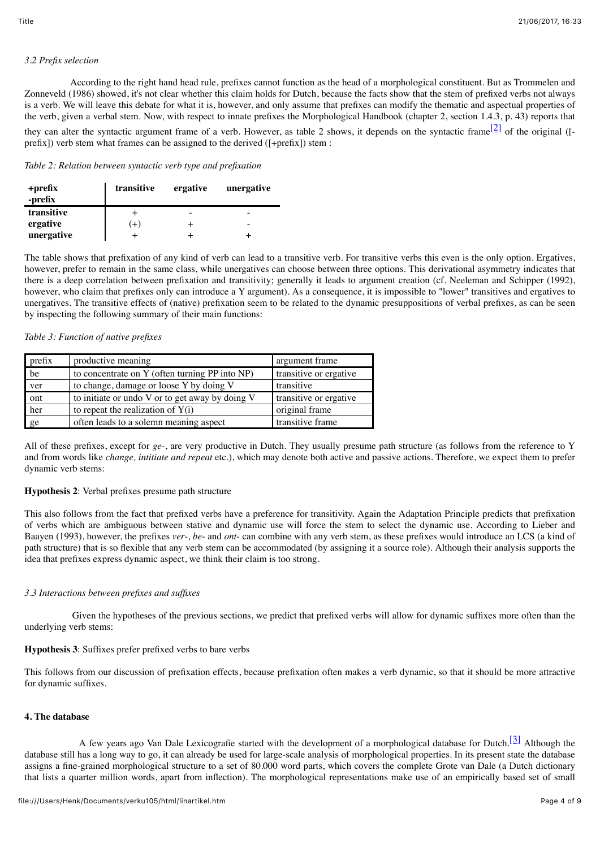## *3.2 Prefix selection*

 According to the right hand head rule, prefixes cannot function as the head of a morphological constituent. But as Trommelen and Zonneveld (1986) showed, it's not clear whether this claim holds for Dutch, because the facts show that the stem of prefixed verbs not always is a verb. We will leave this debate for what it is, however, and only assume that prefixes can modify the thematic and aspectual properties of the verb, given a verbal stem. Now, with respect to innate prefixes the Morphological Handbook (chapter 2, section 1.4.3, p. 43) reports that they can alter the syntactic argument frame of a verb. However, as table 2 shows, it depends on the syntactic frame  $\left[2\right]$  of the original ([-

<span id="page-2-0"></span>prefix]) verb stem what frames can be assigned to the derived ([+prefix]) stem :

## *Table 2: Relation between syntactic verb type and prefixation*

| +prefix<br>-prefix | transitive | ergative | unergative |
|--------------------|------------|----------|------------|
| transitive         |            |          |            |
| ergative           | $(+)$      |          |            |
| unergative         |            |          |            |

The table shows that prefixation of any kind of verb can lead to a transitive verb. For transitive verbs this even is the only option. Ergatives, however, prefer to remain in the same class, while unergatives can choose between three options. This derivational asymmetry indicates that there is a deep correlation between prefixation and transitivity; generally it leads to argument creation (cf. Neeleman and Schipper (1992), however, who claim that prefixes only can introduce a Y argument). As a consequence, it is impossible to "lower" transitives and ergatives to unergatives. The transitive effects of (native) prefixation seem to be related to the dynamic presuppositions of verbal prefixes, as can be seen by inspecting the following summary of their main functions:

# *Table 3: Function of native prefixes*

| prefix | productive meaning                              | argument frame         |
|--------|-------------------------------------------------|------------------------|
| be     | to concentrate on Y (often turning PP into NP)  | transitive or ergative |
| ver    | to change, damage or loose Y by doing V         | transitive             |
| ont    | to initiate or undo V or to get away by doing V | transitive or ergative |
| her    | to repeat the realization of $Y(i)$             | original frame         |
| ge     | often leads to a solemn meaning aspect          | transitive frame       |

All of these prefixes, except for *ge*-, are very productive in Dutch. They usually presume path structure (as follows from the reference to Y and from words like *change, intitiate and repeat* etc.), which may denote both active and passive actions. Therefore, we expect them to prefer dynamic verb stems:

## **Hypothesis 2**: Verbal prefixes presume path structure

This also follows from the fact that prefixed verbs have a preference for transitivity. Again the Adaptation Principle predicts that prefixation of verbs which are ambiguous between stative and dynamic use will force the stem to select the dynamic use. According to Lieber and Baayen (1993), however, the prefixes *ver*-, *be*- and *ont*- can combine with any verb stem, as these prefixes would introduce an LCS (a kind of path structure) that is so flexible that any verb stem can be accommodated (by assigning it a source role). Although their analysis supports the idea that prefixes express dynamic aspect, we think their claim is too strong.

## *3.3 Interactions between prefixes and suffixes*

 Given the hypotheses of the previous sections, we predict that prefixed verbs will allow for dynamic suffixes more often than the underlying verb stems:

#### **Hypothesis 3**: Suffixes prefer prefixed verbs to bare verbs

This follows from our discussion of prefixation effects, because prefixation often makes a verb dynamic, so that it should be more attractive for dynamic suffixes.

## **4. The database**

<span id="page-2-1"></span>A few years ago Van Dale Lexicografie started with the development of a morphological database for Dutch.<sup>[3]</sup> Although the database still has a long way to go, it can already be used for large-scale analysis of morphological properties. In its present state the database assigns a fine-grained morphological structure to a set of 80.000 word parts, which covers the complete Grote van Dale (a Dutch dictionary that lists a quarter million words, apart from inflection). The morphological representations make use of an empirically based set of small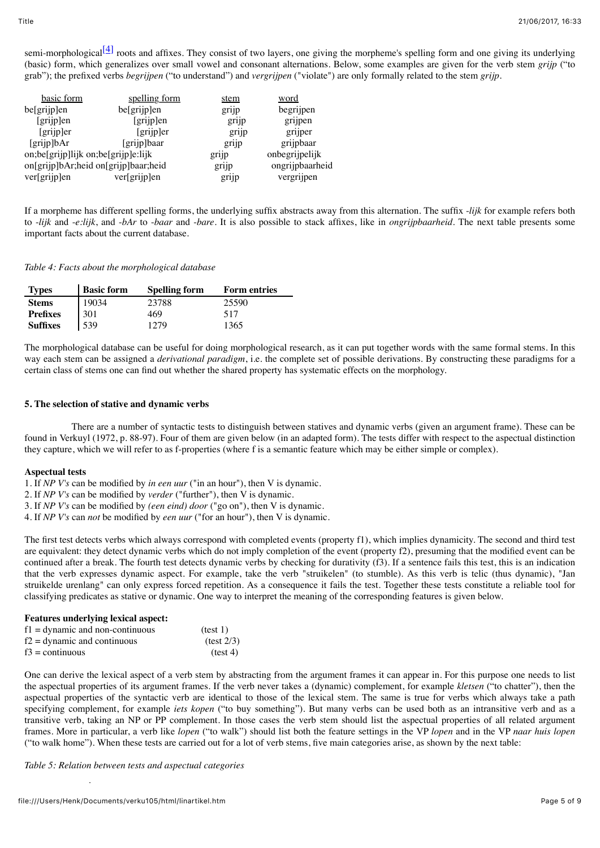<span id="page-3-0"></span>semi-morphological $\left[\frac{4}{3}\right]$  roots and affixes. They consist of two layers, one giving the morpheme's spelling form and one giving its underlying (basic) form, which generalizes over small vowel and consonant alternations. Below, some examples are given for the verb stem *grijp* ("to grab"); the prefixed verbs *begrijpen* ("to understand") and *vergrijpen* ("violate") are only formally related to the stem *grijp*.

| basic form                          | spelling form                        | stem  | word            |
|-------------------------------------|--------------------------------------|-------|-----------------|
| be[grijp]en                         | be[grijp]en                          | grijp | begrijpen       |
| [grijp]en                           | [grijp]en                            | grijp | grijpen         |
| [grijp]er                           | [grijp]er                            | grijp | grijper         |
| [grijplbAr]                         | [grijp]baar                          | grijp | grijpbaar       |
| on;be[grijp]lijk on;be[grijp]e:lijk |                                      | gr1p  | onbegrijpelijk  |
|                                     | on[grijp]bAr;heid on[grijp]baar;heid | grijp | ongrijpbaarheid |
| ver[grijp]en                        | ver[grijp]en                         | grijp | vergrijpen      |

If a morpheme has different spelling forms, the underlying suffix abstracts away from this alternation. The suffix -*lijk* for example refers both to -*lijk* and -*e:lijk*, and -*bAr* to -*baar* and -*bare*. It is also possible to stack affixes, like in *ongrijpbaarheid*. The next table presents some important facts about the current database.

#### *Table 4: Facts about the morphological database*

| <b>Types</b>    | <b>Basic form</b> | <b>Spelling form</b> | <b>Form entries</b> |
|-----------------|-------------------|----------------------|---------------------|
| <b>Stems</b>    | 19034             | 23788                | 25590               |
| <b>Prefixes</b> | 301               | 469                  | 517                 |
| <b>Suffixes</b> | 539               | 1279                 | 1365                |

The morphological database can be useful for doing morphological research, as it can put together words with the same formal stems. In this way each stem can be assigned a *derivational paradigm*, i.e. the complete set of possible derivations. By constructing these paradigms for a certain class of stems one can find out whether the shared property has systematic effects on the morphology.

## **5. The selection of stative and dynamic verbs**

 There are a number of syntactic tests to distinguish between statives and dynamic verbs (given an argument frame). These can be found in Verkuyl (1972, p. 88-97). Four of them are given below (in an adapted form). The tests differ with respect to the aspectual distinction they capture, which we will refer to as f-properties (where f is a semantic feature which may be either simple or complex).

#### **Aspectual tests**

1. If *NP V's* can be modified by *in een uur* ("in an hour"), then V is dynamic.

2. If *NP V's* can be modified by *verder* ("further"), then V is dynamic.

3. If *NP V's* can be modified by *(een eind) door* ("go on"), then V is dynamic.

4. If *NP V's* can *not* be modified by *een uur* ("for an hour"), then V is dynamic.

The first test detects verbs which always correspond with completed events (property f1), which implies dynamicity. The second and third test are equivalent: they detect dynamic verbs which do not imply completion of the event (property f2), presuming that the modified event can be continued after a break. The fourth test detects dynamic verbs by checking for durativity (f3). If a sentence fails this test, this is an indication that the verb expresses dynamic aspect. For example, take the verb "struikelen" (to stumble). As this verb is telic (thus dynamic), "Jan struikelde urenlang" can only express forced repetition. As a consequence it fails the test. Together these tests constitute a reliable tool for classifying predicates as stative or dynamic. One way to interpret the meaning of the corresponding features is given below.

## **Features underlying lexical aspect:**

| $f1 =$ dynamic and non-continuous | (test 1)   |
|-----------------------------------|------------|
| $f2 =$ dynamic and continuous     | (test 2/3) |
| $f3 =$ continuous                 | (test 4)   |

One can derive the lexical aspect of a verb stem by abstracting from the argument frames it can appear in. For this purpose one needs to list the aspectual properties of its argument frames. If the verb never takes a (dynamic) complement, for example *kletsen* ("to chatter"), then the aspectual properties of the syntactic verb are identical to those of the lexical stem. The same is true for verbs which always take a path specifying complement, for example *iets kopen* ("to buy something"). But many verbs can be used both as an intransitive verb and as a transitive verb, taking an NP or PP complement. In those cases the verb stem should list the aspectual properties of all related argument frames. More in particular, a verb like *lopen* ("to walk") should list both the feature settings in the VP *lopen* and in the VP *naar huis lopen* ("to walk home"). When these tests are carried out for a lot of verb stems, five main categories arise, as shown by the next table:

## *Table 5: Relation between tests and aspectual categories*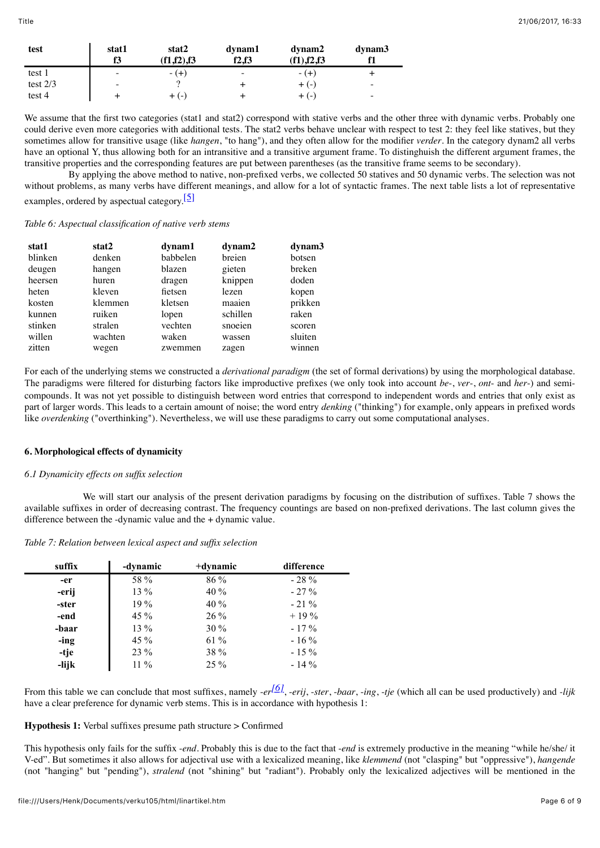| test       | stat1<br>f3              | stat2<br>$f1,f2$ , $f3$ | dynam1<br>f2.f3          | dynam2<br>(f1), f2, f3 | dynam3                   |
|------------|--------------------------|-------------------------|--------------------------|------------------------|--------------------------|
| test 1     | $\overline{\phantom{0}}$ | $- (+)$                 | $\overline{\phantom{a}}$ | $- (+)$                |                          |
| test $2/3$ | $\overline{\phantom{0}}$ |                         |                          | $+(-)$                 | $\overline{\phantom{0}}$ |
| test 4     |                          | + (-)                   |                          | + (-)                  | -                        |

We assume that the first two categories (stat1 and stat2) correspond with stative verbs and the other three with dynamic verbs. Probably one could derive even more categories with additional tests. The stat2 verbs behave unclear with respect to test 2: they feel like statives, but they sometimes allow for transitive usage (like *hangen*, "to hang"), and they often allow for the modifier *verder*. In the category dynam2 all verbs have an optional Y, thus allowing both for an intransitive and a transitive argument frame. To distinghuish the different argument frames, the transitive properties and the corresponding features are put between parentheses (as the transitive frame seems to be secondary).

<span id="page-4-0"></span>By applying the above method to native, non-prefixed verbs, we collected 50 statives and 50 dynamic verbs. The selection was not without problems, as many verbs have different meanings, and allow for a lot of syntactic frames. The next table lists a lot of representative examples, ordered by aspectual category.<sup>[\[5\]](#page-7-4)</sup>

*Table 6: Aspectual classification of native verb stems*

| stat1   | stat2   | dynam1   | dynam2   | dynam3  |
|---------|---------|----------|----------|---------|
| blinken | denken  | babbelen | breien   | botsen  |
| deugen  | hangen  | blazen   | gieten   | breken  |
| heersen | huren   | dragen   | knippen  | doden   |
| heten   | kleven  | fietsen  | lezen    | kopen   |
| kosten  | klemmen | kletsen  | maaien   | prikken |
| kunnen  | ruiken  | lopen    | schillen | raken   |
| stinken | stralen | vechten  | snoeien  | scoren  |
| willen  | wachten | waken    | wassen   | sluiten |
| zitten  | wegen   | zwemmen  | zagen    | winnen  |

For each of the underlying stems we constructed a *derivational paradigm* (the set of formal derivations) by using the morphological database. The paradigms were filtered for disturbing factors like improductive prefixes (we only took into account *be*-, *ver*-, *ont*- and *her*-) and semicompounds. It was not yet possible to distinguish between word entries that correspond to independent words and entries that only exist as part of larger words. This leads to a certain amount of noise; the word entry *denking* ("thinking") for example, only appears in prefixed words like *overdenking* ("overthinking"). Nevertheless, we will use these paradigms to carry out some computational analyses.

## **6. Morphological effects of dynamicity**

## *6.1 Dynamicity effects on suffix selection*

We will start our analysis of the present derivation paradigms by focusing on the distribution of suffixes. Table 7 shows the available suffixes in order of decreasing contrast. The frequency countings are based on non-prefixed derivations. The last column gives the difference between the -dynamic value and the + dynamic value.

#### *Table 7: Relation between lexical aspect and suffix selection*

| suffix | -dynamic | $+$ dynamic | difference |
|--------|----------|-------------|------------|
| -er    | 58 %     | 86 %        | $-28\%$    |
| -erij  | $13\%$   | 40%         | $-27\%$    |
| -ster  | $19\%$   | 40 %        | $-21\%$    |
| -end   | $45\%$   | $26\%$      | $+19\%$    |
| -baar  | $13\%$   | $30\%$      | $-17\%$    |
| -ing   | $45\%$   | $61\%$      | $-16\%$    |
| -tje   | 23 %     | 38 %        | $-15\%$    |
| -lijk  | $11\%$   | 25 %        | $-14\%$    |

<span id="page-4-1"></span>From this table we can conclude that most suffixes, namely -*er[\[6\]](#page-7-5)*, -*erij*, -*ster*, -*baar*, -*ing*, -*tje* (which all can be used productively) and *-lijk* have a clear preference for dynamic verb stems. This is in accordance with hypothesis 1:

**Hypothesis 1:** Verbal suffixes presume path structure > Confirmed

This hypothesis only fails for the suffix -*end*. Probably this is due to the fact that -*end* is extremely productive in the meaning "while he/she/ it V-ed". But sometimes it also allows for adjectival use with a lexicalized meaning, like *klemmend* (not "clasping" but "oppressive"), *hangende* (not "hanging" but "pending"), *stralend* (not "shining" but "radiant"). Probably only the lexicalized adjectives will be mentioned in the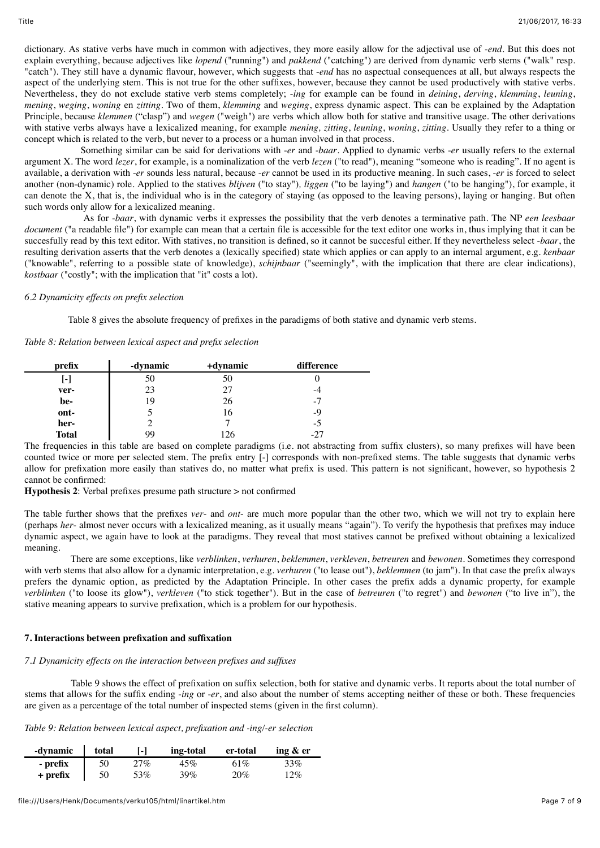dictionary. As stative verbs have much in common with adjectives, they more easily allow for the adjectival use of -*end*. But this does not explain everything, because adjectives like *lopend* ("running") and *pakkend* ("catching") are derived from dynamic verb stems ("walk" resp. "catch"). They still have a dynamic flavour, however, which suggests that -*end* has no aspectual consequences at all, but always respects the aspect of the underlying stem. This is not true for the other suffixes, however, because they cannot be used productively with stative verbs. Nevertheless, they do not exclude stative verb stems completely; -*ing* for example can be found in *deining*, *derving*, *klemming*, *leuning*, *mening*, *weging*, *woning* en *zitting*. Two of them, *klemming* and *weging*, express dynamic aspect. This can be explained by the Adaptation Principle, because *klemmen* ("clasp") and *wegen* ("weigh") are verbs which allow both for stative and transitive usage. The other derivations with stative verbs always have a lexicalized meaning, for example *mening, zitting*, *leuning*, *woning*, *zitting*. Usually they refer to a thing or concept which is related to the verb, but never to a process or a human involved in that process.

 Something similar can be said for derivations with -*er* and -*baar*. Applied to dynamic verbs -*er* usually refers to the external argument X. The word *lezer*, for example, is a nominalization of the verb *lezen* ("to read"), meaning "someone who is reading". If no agent is available, a derivation with -*er* sounds less natural, because -*er* cannot be used in its productive meaning. In such cases, -*er* is forced to select another (non-dynamic) role. Applied to the statives *blijven* ("to stay")*, liggen* ("to be laying") and *hangen* ("to be hanging"), for example, it can denote the X, that is, the individual who is in the category of staying (as opposed to the leaving persons), laying or hanging. But often such words only allow for a lexicalized meaning.

 As for -*baar*, with dynamic verbs it expresses the possibility that the verb denotes a terminative path. The NP *een leesbaar document* ("a readable file") for example can mean that a certain file is accessible for the text editor one works in, thus implying that it can be succesfully read by this text editor. With statives, no transition is defined, so it cannot be succesful either. If they nevertheless select -*baar*, the resulting derivation asserts that the verb denotes a (lexically specified) state which applies or can apply to an internal argument, e.g. *kenbaar* ("knowable", referring to a possible state of knowledge), *schijnbaar* ("seemingly", with the implication that there are clear indications), *kostbaar* ("costly"; with the implication that "it" costs a lot)*.*

#### *6.2 Dynamicity effects on prefix selection*

Table 8 gives the absolute frequency of prefixes in the paradigms of both stative and dynamic verb stems.

## *Table 8: Relation between lexical aspect and prefix selection*

| prefix       | -dynamic | +dynamic | difference |
|--------------|----------|----------|------------|
| H            | 50       | эu       |            |
| ver-         | 23       | 27       |            |
| be-          | 19       | 26       | $-1$       |
| ont-         |          | 16       | -9         |
| her-         |          |          | -0         |
| <b>Total</b> | QQ       | 26       |            |

The frequencies in this table are based on complete paradigms (i.e. not abstracting from suffix clusters), so many prefixes will have been counted twice or more per selected stem. The prefix entry [-] corresponds with non-prefixed stems. The table suggests that dynamic verbs allow for prefixation more easily than statives do, no matter what prefix is used. This pattern is not significant, however, so hypothesis 2 cannot be confirmed:

**Hypothesis 2**: Verbal prefixes presume path structure > not confirmed

The table further shows that the prefixes *ver*- and *ont*- are much more popular than the other two, which we will not try to explain here (perhaps *her*- almost never occurs with a lexicalized meaning, as it usually means "again"). To verify the hypothesis that prefixes may induce dynamic aspect, we again have to look at the paradigms. They reveal that most statives cannot be prefixed without obtaining a lexicalized meaning.

 There are some exceptions, like *verblinken*, *verhuren*, *beklemmen*, *verkleven*, *betreuren* and *bewonen*. Sometimes they correspond with verb stems that also allow for a dynamic interpretation, e.g. *verhuren* ("to lease out"), *beklemmen* (to jam"). In that case the prefix always prefers the dynamic option, as predicted by the Adaptation Principle. In other cases the prefix adds a dynamic property, for example *verblinken* ("to loose its glow"), *verkleven* ("to stick together"). But in the case of *betreuren* ("to regret") and *bewonen* ("to live in"), the stative meaning appears to survive prefixation, which is a problem for our hypothesis.

#### **7. Interactions between prefixation and suffixation**

#### *7.1 Dynamicity effects on the interaction between prefixes and suffixes*

 Table 9 shows the effect of prefixation on suffix selection, both for stative and dynamic verbs. It reports about the total number of stems that allows for the suffix ending -*ing* or -*er*, and also about the number of stems accepting neither of these or both. These frequencies are given as a percentage of the total number of inspected stems (given in the first column).

*Table 9: Relation between lexical aspect, prefixation and -ing/-er selection*

| -dynamic | total | I – I  | ing-total | er-total | ing $\&$ er |
|----------|-------|--------|-----------|----------|-------------|
| - prefix | 50    | $27\%$ | 45%       | 51%      | 33%         |
| + prefix | 50    | 53%    | 39%       | $20\%$   | $2\%$       |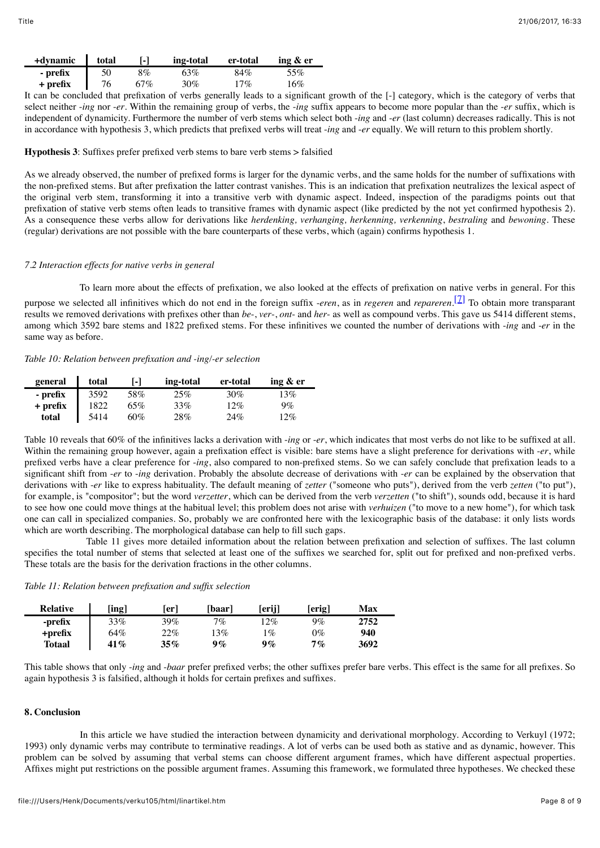| +dynamic | total | ٠I  | ing-total | er-total | ing $\&$ er |
|----------|-------|-----|-----------|----------|-------------|
| - prefix | 50    | 8%  | 63%       | 84%      | 55%         |
| + prefix | 76    | 67% | 30%       | 17%      | 6%          |

It can be concluded that prefixation of verbs generally leads to a significant growth of the [-] category, which is the category of verbs that select neither -*ing* nor -*er*. Within the remaining group of verbs, the -*ing* suffix appears to become more popular than the -*er* suffix, which is independent of dynamicity. Furthermore the number of verb stems which select both -*ing* and -*er* (last column) decreases radically. This is not in accordance with hypothesis 3, which predicts that prefixed verbs will treat -*ing* and -*er* equally. We will return to this problem shortly.

## **Hypothesis 3**: Suffixes prefer prefixed verb stems to bare verb stems > falsified

As we already observed, the number of prefixed forms is larger for the dynamic verbs, and the same holds for the number of suffixations with the non-prefixed stems. But after prefixation the latter contrast vanishes. This is an indication that prefixation neutralizes the lexical aspect of the original verb stem, transforming it into a transitive verb with dynamic aspect. Indeed, inspection of the paradigms points out that prefixation of stative verb stems often leads to transitive frames with dynamic aspect (like predicted by the not yet confirmed hypothesis 2). As a consequence these verbs allow for derivations like *herdenking, verhanging, herkenning, verkenning*, *bestraling* and *bewoning*. These (regular) derivations are not possible with the bare counterparts of these verbs, which (again) confirms hypothesis 1.

## *7.2 Interaction effects for native verbs in general*

<span id="page-6-0"></span> To learn more about the effects of prefixation, we also looked at the effects of prefixation on native verbs in general. For this purpose we selected all infinitives which do not end in the foreign suffix -*eren*, as in *regeren* and *repareren*. [\[7\]](#page-7-6) To obtain more transparant results we removed derivations with prefixes other than *be*-, *ver*-, *ont*- and *her*- as well as compound verbs. This gave us 5414 different stems, among which 3592 bare stems and 1822 prefixed stems. For these infinitives we counted the number of derivations with -*ing* and -*er* in the same way as before.

*Table 10: Relation between prefixation and -ing/-er selection*

| general  | total | l-l | ing-total | er-total | ing $\&$ er |
|----------|-------|-----|-----------|----------|-------------|
| - prefix | 3592  | 58% | 25%       | 30%      | 13%         |
| + prefix | 1822  | 65% | 33%       | $12\%$   | $9\%$       |
| total    | 5414  | 60% | 28%       | 24%      | 12%         |

Table 10 reveals that 60% of the infinitives lacks a derivation with -*ing* or -*er*, which indicates that most verbs do not like to be suffixed at all. Within the remaining group however, again a prefixation effect is visible: bare stems have a slight preference for derivations with -*er*, while prefixed verbs have a clear preference for -*ing*, also compared to non-prefixed stems. So we can safely conclude that prefixation leads to a significant shift from -*er* to -*ing* derivation. Probably the absolute decrease of derivations with -*er* can be explained by the observation that derivations with -*er* like to express habituality. The default meaning of *zetter* ("someone who puts"), derived from the verb *zetten* ("to put"), for example, is "compositor"; but the word *verzetter*, which can be derived from the verb *verzetten* ("to shift"), sounds odd, because it is hard to see how one could move things at the habitual level; this problem does not arise with *verhuizen* ("to move to a new home"), for which task one can call in specialized companies. So, probably we are confronted here with the lexicographic basis of the database: it only lists words which are worth describing. The morphological database can help to fill such gaps.

 Table 11 gives more detailed information about the relation between prefixation and selection of suffixes. The last column specifies the total number of stems that selected at least one of the suffixes we searched for, split out for prefixed and non-prefixed verbs. These totals are the basis for the derivation fractions in the other columns.

## *Table 11: Relation between prefixation and suffix selection*

| <b>Relative</b> | $\lceil \text{ing} \rceil$ | [er]   | [baar] | <b>eriil</b> | erig  | Max  |
|-----------------|----------------------------|--------|--------|--------------|-------|------|
| -prefix         | 33%                        | 39%    | 7 $\%$ | $12\%$       | $9\%$ | 2752 |
| +prefix         | 64%                        | $22\%$ | $13\%$ | $\cdot$ %    | $0\%$ | 940  |
| <b>Totaal</b>   | 41%                        | 35 %   | $9\%$  | $9\%$        | $7\%$ | 3692 |

This table shows that only -*ing* and -*baar* prefer prefixed verbs; the other suffixes prefer bare verbs. This effect is the same for all prefixes. So again hypothesis 3 is falsified, although it holds for certain prefixes and suffixes.

# **8. Conclusion**

 In this article we have studied the interaction between dynamicity and derivational morphology. According to Verkuyl (1972; 1993) only dynamic verbs may contribute to terminative readings. A lot of verbs can be used both as stative and as dynamic, however. This problem can be solved by assuming that verbal stems can choose different argument frames, which have different aspectual properties. Affixes might put restrictions on the possible argument frames. Assuming this framework, we formulated three hypotheses. We checked these